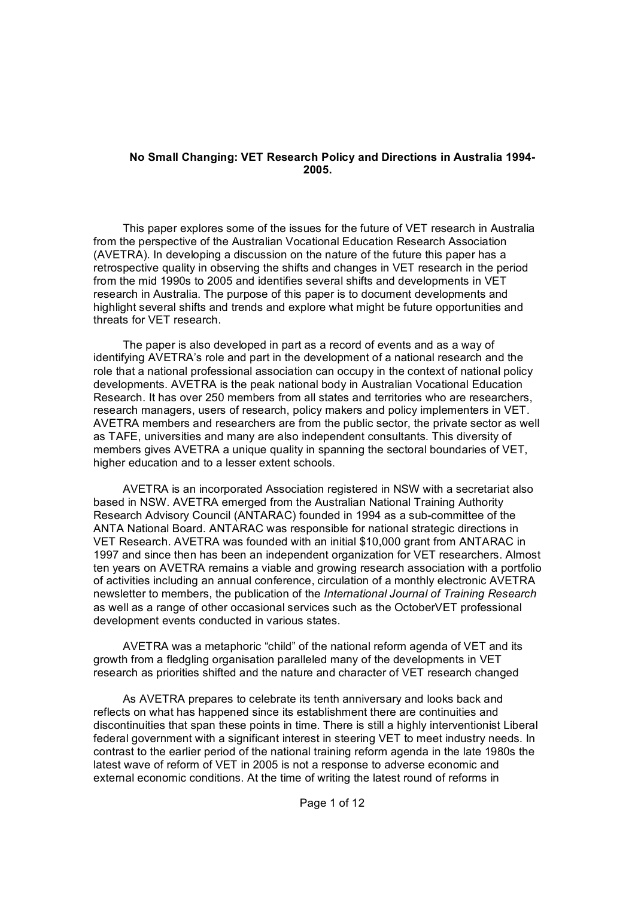### **No Small Changing: VET Research Policy and Directions in Australia 1994 2005.**

This paper explores some of the issues for the future of VET research in Australia from the perspective of the Australian Vocational Education Research Association (AVETRA). In developing a discussion on the nature of the future this paper has a retrospective quality in observing the shifts and changes in VET research in the period from the mid 1990s to 2005 and identifies several shifts and developments in VET research in Australia. The purpose of this paper is to document developments and highlight several shifts and trends and explore what might be future opportunities and threats for VET research.

The paper is also developed in part as a record of events and as a way of identifying AVETRA's role and part in the development of a national research and the role that a national professional association can occupy in the context of national policy developments. AVETRA is the peak national body in Australian Vocational Education Research. It has over 250 members from all states and territories who are researchers, research managers, users of research, policy makers and policy implementers in VET. AVETRA members and researchers are from the public sector, the private sector as well as TAFE, universities and many are also independent consultants. This diversity of members gives AVETRA a unique quality in spanning the sectoral boundaries of VET, higher education and to a lesser extent schools.

AVETRA is an incorporated Association registered in NSW with a secretariat also based in NSW. AVETRA emerged from the Australian National Training Authority Research Advisory Council (ANTARAC) founded in 1994 as a sub-committee of the ANTA National Board. ANTARAC was responsible for national strategic directions in VET Research. AVETRA was founded with an initial \$10,000 grant from ANTARAC in 1997 and since then has been an independent organization for VET researchers. Almost ten years on AVETRA remains a viable and growing research association with a portfolio of activities including an annual conference, circulation of a monthly electronic AVETRA newsletter to members, the publication of the *International Journal of Training Research* as well as a range of other occasional services such as the OctoberVET professional development events conducted in various states.

AVETRA was a metaphoric "child" of the national reform agenda of VET and its growth from a fledgling organisation paralleled many of the developments in VET research as priorities shifted and the nature and character of VET research changed

As AVETRA prepares to celebrate its tenth anniversary and looks back and reflects on what has happened since its establishment there are continuities and discontinuities that span these points in time. There is still a highly interventionist Liberal federal government with a significant interest in steering VET to meet industry needs. In contrast to the earlier period of the national training reform agenda in the late 1980s the latest wave of reform of VET in 2005 is not a response to adverse economic and external economic conditions. At the time of writing the latest round of reforms in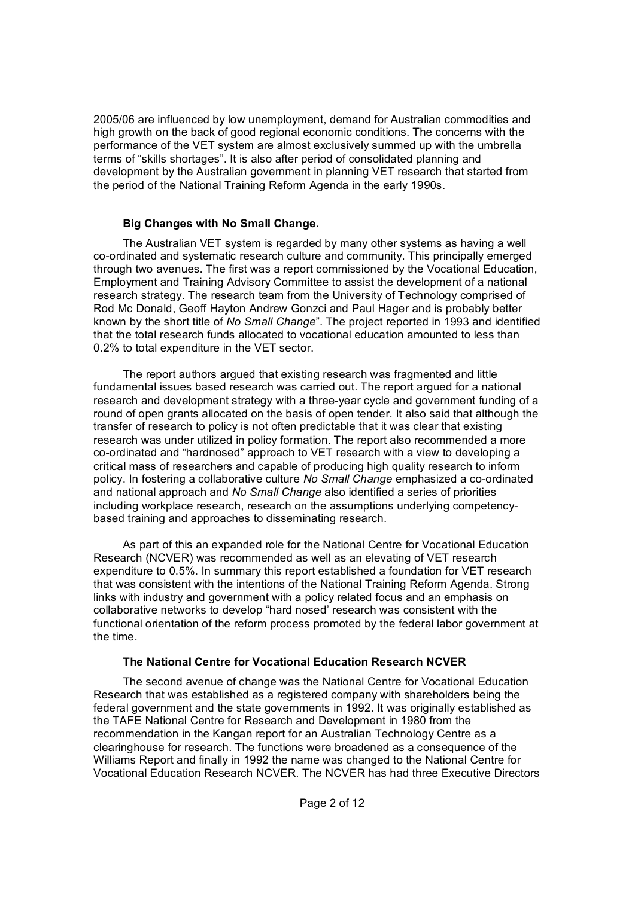2005/06 are influenced by low unemployment, demand for Australian commodities and high growth on the back of good regional economic conditions. The concerns with the performance of the VET system are almost exclusively summed up with the umbrella terms of "skills shortages". It is also after period of consolidated planning and development by the Australian government in planning VET research that started from the period of the National Training Reform Agenda in the early 1990s.

### **Big Changes with No Small Change.**

The Australian VET system is regarded by many other systems as having a well coordinated and systematic research culture and community. This principally emerged through two avenues. The first was a report commissioned by the Vocational Education, Employment and Training Advisory Committee to assist the development of a national research strategy. The research team from the University of Technology comprised of Rod Mc Donald, Geoff Hayton Andrew Gonzci and Paul Hager and is probably better known by the short title of *No Small Change*". The project reported in 1993 and identified that the total research funds allocated to vocational education amounted to less than 0.2% to total expenditure in the VET sector.

The report authors argued that existing research was fragmented and little fundamental issues based research was carried out. The report argued for a national research and development strategy with a three-year cycle and government funding of a round of open grants allocated on the basis of open tender. It also said that although the transfer of research to policy is not often predictable that it was clear that existing research was under utilized in policy formation. The report also recommended a more co-ordinated and "hardnosed" approach to VET research with a view to developing a critical mass of researchers and capable of producing high quality research to inform policy. In fostering a collaborative culture *No Small Change* emphasized a co-ordinated and national approach and *No Small Change* also identified a series of priorities including workplace research, research on the assumptions underlying competency based training and approaches to disseminating research.

As part of this an expanded role for the National Centre for Vocational Education Research (NCVER) was recommended as well as an elevating of VET research expenditure to 0.5%. In summary this report established a foundation for VET research that was consistent with the intentions of the National Training Reform Agenda. Strong links with industry and government with a policy related focus and an emphasis on collaborative networks to develop "hard nosed' research was consistent with the functional orientation of the reform process promoted by the federal labor government at the time.

# **The National Centre for Vocational Education Research NCVER**

The second avenue of change was the National Centre for Vocational Education Research that was established as a registered company with shareholders being the federal government and the state governments in 1992. It was originally established as the TAFE National Centre for Research and Development in 1980 from the recommendation in the Kangan report for an Australian Technology Centre as a clearinghouse for research. The functions were broadened as a consequence of the Williams Report and finally in 1992 the name was changed to the National Centre for Vocational Education Research NCVER. The NCVER has had three Executive Directors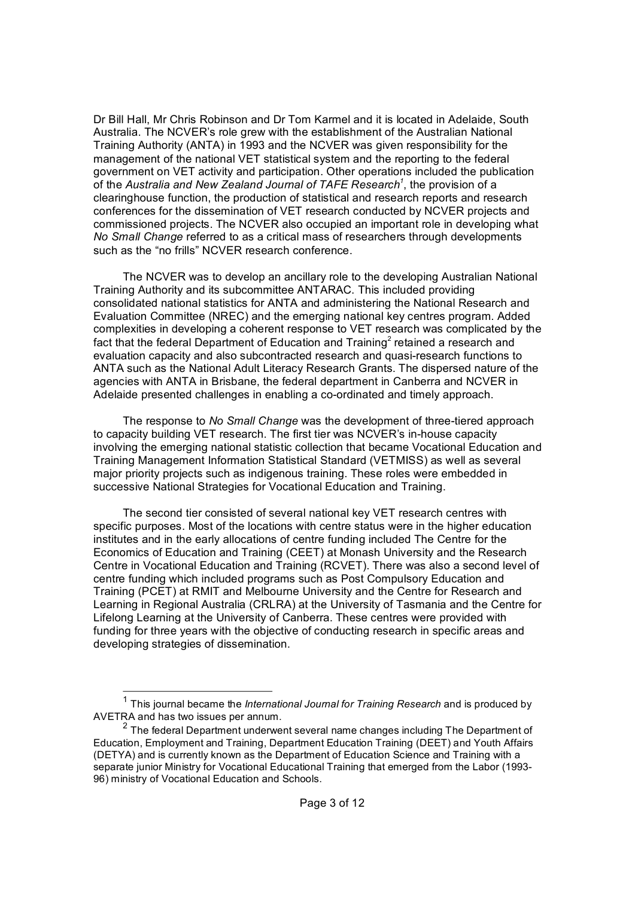Dr Bill Hall, Mr Chris Robinson and Dr Tom Karmel and it is located in Adelaide, South Australia. The NCVER's role grew with the establishment of the Australian National Training Authority (ANTA) in 1993 and the NCVER was given responsibility for the management of the national VET statistical system and the reporting to the federal government on VET activity and participation. Other operations included the publication of the *Australia and New Zealand Journal of TAFE Research 1* , the provision of a clearinghouse function, the production of statistical and research reports and research conferences for the dissemination of VET research conducted by NCVER projects and commissioned projects. The NCVER also occupied an important role in developing what *No Small Change* referred to as a critical mass of researchers through developments such as the "no frills" NCVER research conference.

The NCVER was to develop an ancillary role to the developing Australian National Training Authority and its subcommittee ANTARAC. This included providing consolidated national statistics for ANTA and administering the National Research and Evaluation Committee (NREC) and the emerging national key centres program. Added complexities in developing a coherent response to VET research was complicated by the fact that the federal Department of Education and Training<sup>2</sup> retained a research and evaluation capacity and also subcontracted research and quasiresearch functions to ANTA such as the National Adult Literacy Research Grants. The dispersed nature of the agencies with ANTA in Brisbane, the federal department in Canberra and NCVER in Adelaide presented challenges in enabling a co-ordinated and timely approach.

The response to *No Small Change* was the development of three-tiered approach to capacity building VET research. The first tier was NCVER's in-house capacity involving the emerging national statistic collection that became Vocational Education and Training Management Information Statistical Standard (VETMISS) as well as several major priority projects such as indigenous training. These roles were embedded in successive National Strategies for Vocational Education and Training.

The second tier consisted of several national key VET research centres with specific purposes. Most of the locations with centre status were in the higher education institutes and in the early allocations of centre funding included The Centre for the Economics of Education and Training (CEET) at Monash University and the Research Centre in Vocational Education and Training (RCVET). There was also a second level of centre funding which included programs such as Post Compulsory Education and Training (PCET) at RMIT and Melbourne University and the Centre for Research and Learning in Regional Australia (CRLRA) at the University of Tasmania and the Centre for Lifelong Learning at the University of Canberra. These centres were provided with funding for three years with the objective of conducting research in specific areas and developing strategies of dissemination.

<sup>&</sup>lt;sup>1</sup> This journal became the *International Journal for Training Research* and is produced by AVETRA and has two issues per annum.

 $2$  The federal Department underwent several name changes including The Department of Education, Employment and Training, Department Education Training (DEET) and Youth Affairs (DETYA) and is currently known as the Department of Education Science and Training with a separate junior Ministry for Vocational Educational Training that emerged from the Labor (1993-96) ministry of Vocational Education and Schools.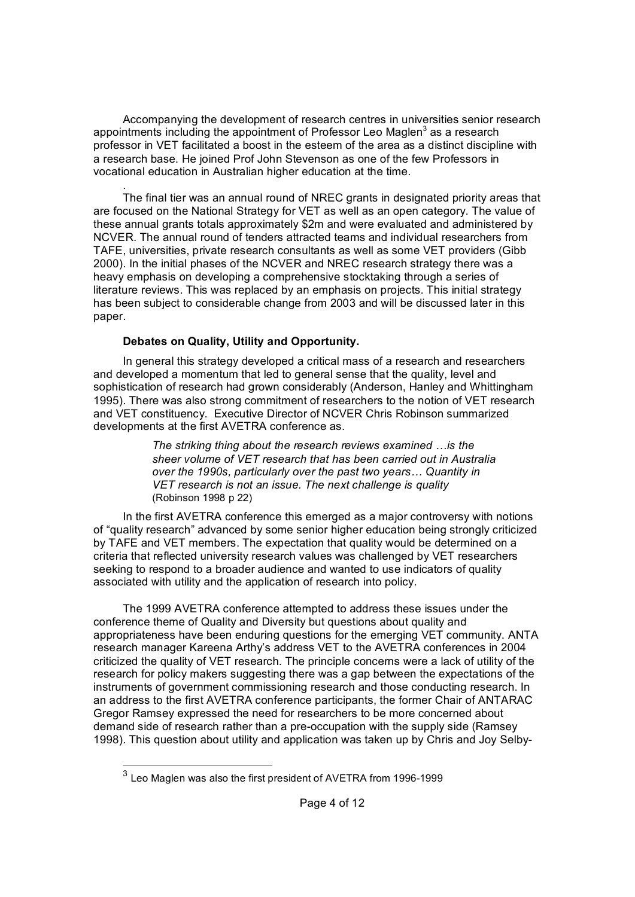Accompanying the development of research centres in universities senior research appointments including the appointment of Professor Leo Maglen<sup>3</sup> as a research professor in VET facilitated a boost in the esteem of the area as a distinct discipline with a research base. He joined Prof John Stevenson as one of the few Professors in vocational education in Australian higher education at the time.

. The final tier was an annual round of NREC grants in designated priority areas that are focused on the National Strategy for VET as well as an open category. The value of these annual grants totals approximately \$2m and were evaluated and administered by NCVER. The annual round of tenders attracted teams and individual researchers from TAFE, universities, private research consultants as well as some VET providers (Gibb 2000). In the initial phases of the NCVER and NREC research strategy there was a heavy emphasis on developing a comprehensive stocktaking through a series of literature reviews. This was replaced by an emphasis on projects. This initial strategy has been subject to considerable change from 2003 and will be discussed later in this paper.

# **Debates on Quality, Utility and Opportunity.**

In general this strategy developed a critical mass of a research and researchers and developed a momentum that led to general sense that the quality, level and sophistication of research had grown considerably (Anderson, Hanley and Whittingham 1995). There was also strong commitment of researchers to the notion of VET research and VET constituency. Executive Director of NCVER Chris Robinson summarized developments at the first AVETRA conference as.

> *The striking thing about the research reviews examined …is the sheer volume of VET research that has been carried out in Australia over the 1990s, particularly over the past two years… Quantity in VET research is not an issue. The next challenge is quality* (Robinson 1998 p 22)

In the first AVETRA conference this emerged as a major controversy with notions of "quality research" advanced by some senior higher education being strongly criticized by TAFE and VET members. The expectation that quality would be determined on a criteria that reflected university research values was challenged by VET researchers seeking to respond to a broader audience and wanted to use indicators of quality associated with utility and the application of research into policy.

The 1999 AVETRA conference attempted to address these issues under the conference theme of Quality and Diversity but questions about quality and appropriateness have been enduring questions for the emerging VET community. ANTA research manager Kareena Arthy's address VET to the AVETRA conferences in 2004 criticized the quality of VET research. The principle concerns were a lack of utility of the research for policy makers suggesting there was a gap between the expectations of the instruments of government commissioning research and those conducting research. In an address to the first AVETRA conference participants, the former Chair of ANTARAC Gregor Ramsey expressed the need for researchers to be more concerned about demand side of research rather than a pre-occupation with the supply side (Ramsey 1998). This question about utility and application was taken up by Chris and Joy Selby-

 $3$  Leo Maglen was also the first president of AVETRA from 1996-1999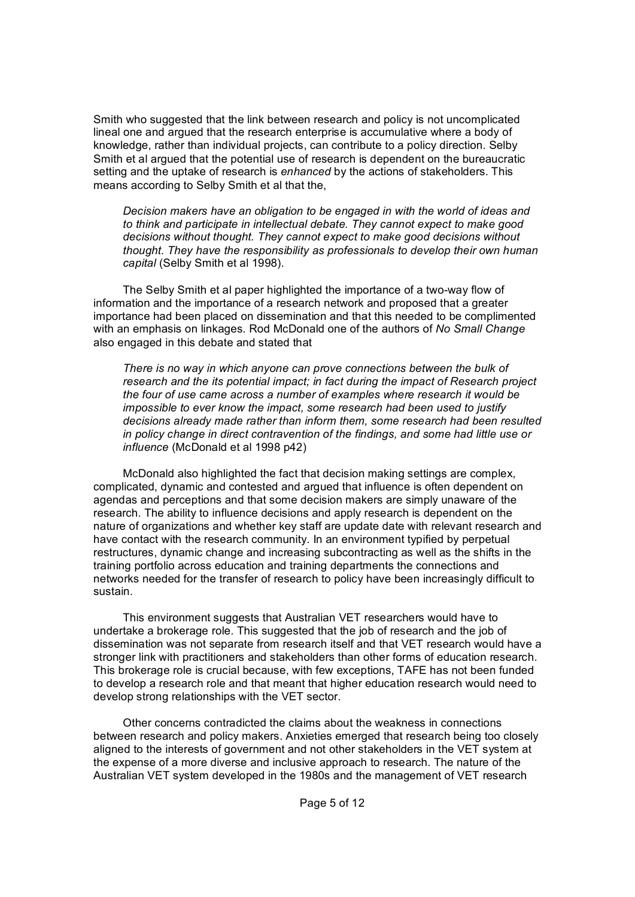Smith who suggested that the link between research and policy is not uncomplicated lineal one and argued that the research enterprise is accumulative where a body of knowledge, rather than individual projects, can contribute to a policy direction. Selby Smith et al argued that the potential use of research is dependent on the bureaucratic setting and the uptake of research is *enhanced* by the actions of stakeholders. This means according to Selby Smith et al that the,

*Decision makers have an obligation to be engaged in with the world of ideas and to think and participate in intellectual debate. They cannot expect to make good decisions without thought. They cannot expect to make good decisions without thought. They have the responsibility as professionals to develop their own human capital* (Selby Smith et al 1998).

The Selby Smith et al paper highlighted the importance of a two-way flow of information and the importance of a research network and proposed that a greater importance had been placed on dissemination and that this needed to be complimented with an emphasis on linkages. Rod McDonald one of the authors of *No Small Change* also engaged in this debate and stated that

*There is no way in which anyone can prove connections between the bulk of research and the its potential impact; in fact during the impact of Research project the four of use came across a number of examples where research it would be impossible to ever know the impact, some research had been used to justify decisions already made rather than inform them, some research had been resulted in policy change in direct contravention of the findings, and some had little use or influence* (McDonald et al 1998 p42)

McDonald also highlighted the fact that decision making settings are complex, complicated, dynamic and contested and argued that influence is often dependent on agendas and perceptions and that some decision makers are simply unaware of the research. The ability to influence decisions and apply research is dependent on the nature of organizations and whether key staff are update date with relevant research and have contact with the research community. In an environment typified by perpetual restructures, dynamic change and increasing subcontracting as well as the shifts in the training portfolio across education and training departments the connections and networks needed for the transfer of research to policy have been increasingly difficult to sustain.

This environment suggests that Australian VET researchers would have to undertake a brokerage role. This suggested that the job of research and the job of dissemination was not separate from research itself and that VET research would have a stronger link with practitioners and stakeholders than other forms of education research. This brokerage role is crucial because, with few exceptions, TAFE has not been funded to develop a research role and that meant that higher education research would need to develop strong relationships with the VET sector.

Other concerns contradicted the claims about the weakness in connections between research and policy makers. Anxieties emerged that research being too closely aligned to the interests of government and not other stakeholders in the VET system at the expense of a more diverse and inclusive approach to research. The nature of the Australian VET system developed in the 1980s and the management of VET research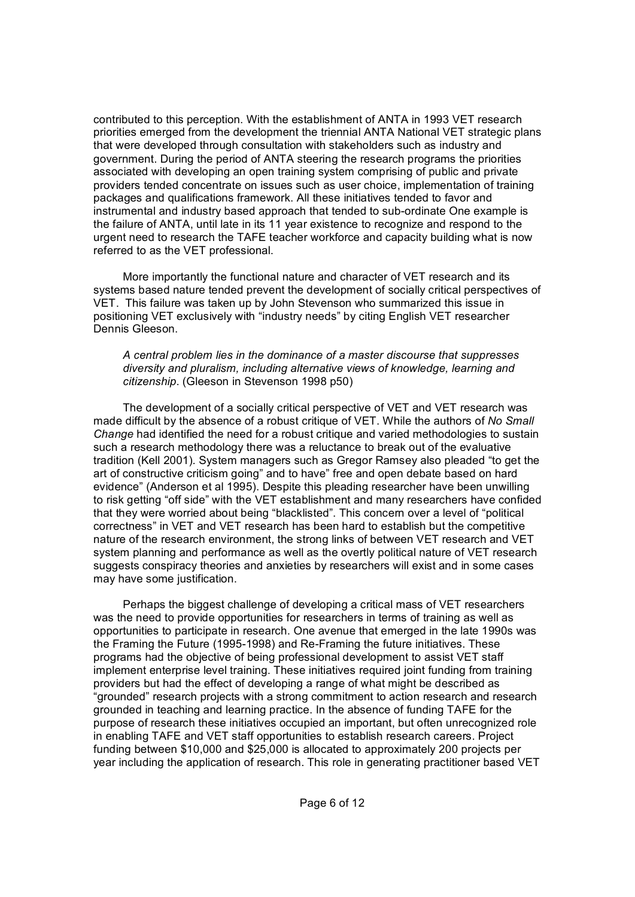contributed to this perception. With the establishment of ANTA in 1993 VET research priorities emerged from the development the triennial ANTA National VET strategic plans that were developed through consultation with stakeholders such as industry and government. During the period of ANTA steering the research programs the priorities associated with developing an open training system comprising of public and private providers tended concentrate on issues such as user choice, implementation of training packages and qualifications framework. All these initiatives tended to favor and instrumental and industry based approach that tended to sub-ordinate One example is the failure of ANTA, until late in its 11 year existence to recognize and respond to the urgent need to research the TAFE teacher workforce and capacity building what is now referred to as the VET professional.

More importantly the functional nature and character of VET research and its systems based nature tended prevent the development of socially critical perspectives of VET. This failure was taken up by John Stevenson who summarized this issue in positioning VET exclusively with "industry needs" by citing English VET researcher Dennis Gleeson.

#### *A central problem lies in the dominance of a master discourse that suppresses diversity and pluralism, including alternative views of knowledge, learning and citizenship*. (Gleeson in Stevenson 1998 p50)

The development of a socially critical perspective of VET and VET research was made difficult by the absence of a robust critique of VET. While the authors of *No Small Change* had identified the need for a robust critique and varied methodologies to sustain such a research methodology there was a reluctance to break out of the evaluative tradition (Kell 2001). System managers such as Gregor Ramsey also pleaded "to get the art of constructive criticism going" and to have" free and open debate based on hard evidence" (Anderson et al 1995). Despite this pleading researcher have been unwilling to risk getting "off side" with the VET establishment and many researchers have confided that they were worried about being "blacklisted". This concern over a level of "political correctness" in VET and VET research has been hard to establish but the competitive nature of the research environment, the strong links of between VET research and VET system planning and performance as well as the overtly political nature of VET research suggests conspiracy theories and anxieties by researchers will exist and in some cases may have some justification.

Perhaps the biggest challenge of developing a critical mass of VET researchers was the need to provide opportunities for researchers in terms of training as well as opportunities to participate in research. One avenue that emerged in the late 1990s was the Framing the Future (1995-1998) and Re-Framing the future initiatives. These programs had the objective of being professional development to assist VET staff implement enterprise level training. These initiatives required joint funding from training providers but had the effect of developing a range of what might be described as "grounded" research projects with a strong commitment to action research and research grounded in teaching and learning practice. In the absence of funding TAFE for the purpose of research these initiatives occupied an important, but often unrecognized role in enabling TAFE and VET staff opportunities to establish research careers. Project funding between \$10,000 and \$25,000 is allocated to approximately 200 projects per year including the application of research. This role in generating practitioner based VET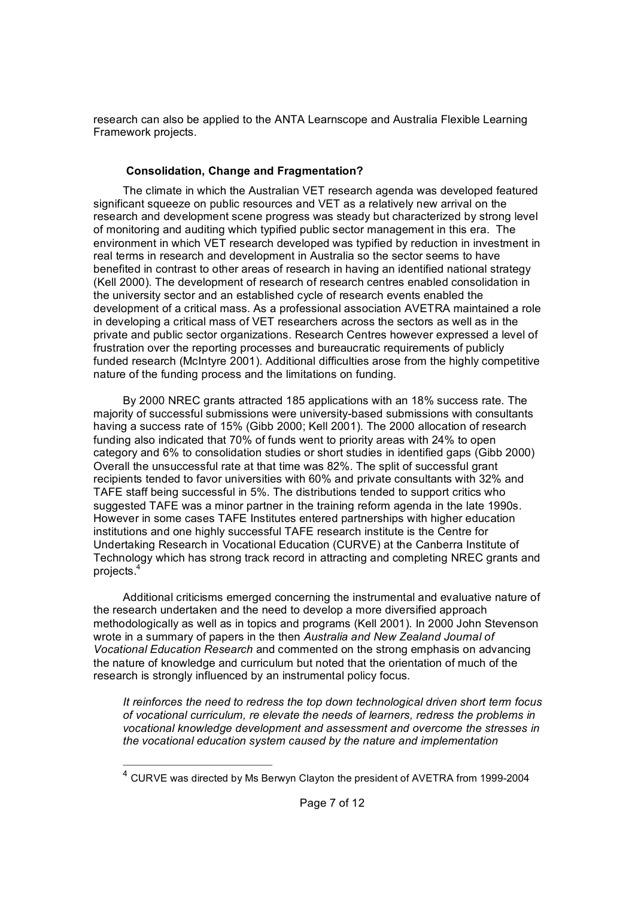research can also be applied to the ANTA Learnscope and Australia Flexible Learning Framework projects.

# **Consolidation, Change and Fragmentation?**

The climate in which the Australian VET research agenda was developed featured significant squeeze on public resources and VET as a relatively new arrival on the research and development scene progress was steady but characterized by strong level of monitoring and auditing which typified public sector management in this era. The environment in which VET research developed was typified by reduction in investment in real terms in research and development in Australia so the sector seems to have benefited in contrast to other areas of research in having an identified national strategy (Kell 2000). The development of research of research centres enabled consolidation in the university sector and an established cycle of research events enabled the development of a critical mass. As a professional association AVETRA maintained a role in developing a critical mass of VET researchers across the sectors as well as in the private and public sector organizations. Research Centres however expressed a level of frustration over the reporting processes and bureaucratic requirements of publicly funded research (McIntyre 2001). Additional difficulties arose from the highly competitive nature of the funding process and the limitations on funding.

By 2000 NREC grants attracted 185 applications with an 18% success rate. The majority of successful submissions were university-based submissions with consultants having a success rate of 15% (Gibb 2000; Kell 2001). The 2000 allocation of research funding also indicated that 70% of funds went to priority areas with 24% to open category and 6% to consolidation studies or short studies in identified gaps (Gibb 2000) Overall the unsuccessful rate at that time was 82%. The split of successful grant recipients tended to favor universities with 60% and private consultants with 32% and TAFE staff being successful in 5%. The distributions tended to support critics who suggested TAFE was a minor partner in the training reform agenda in the late 1990s. However in some cases TAFE Institutes entered partnerships with higher education institutions and one highly successful TAFE research institute is the Centre for Undertaking Research in Vocational Education (CURVE) at the Canberra Institute of Technology which has strong track record in attracting and completing NREC grants and projects. <sup>4</sup>

Additional criticisms emerged concerning the instrumental and evaluative nature of the research undertaken and the need to develop a more diversified approach methodologically as well as in topics and programs (Kell 2001). In 2000 John Stevenson wrote in a summary of papers in the then *Australia and New Zealand Journal of Vocational Education Research* and commented on the strong emphasis on advancing the nature of knowledge and curriculum but noted that the orientation of much of the research is strongly influenced by an instrumental policy focus.

*It reinforces the need to redress the top down technological driven short term focus of vocational curriculum, re elevate the needs of learners, redress the problems in vocational knowledge development and assessment and overcome the stresses in the vocational education system caused by the nature and implementation*

 $4$  CURVE was directed by Ms Berwyn Clayton the president of AVETRA from 1999-2004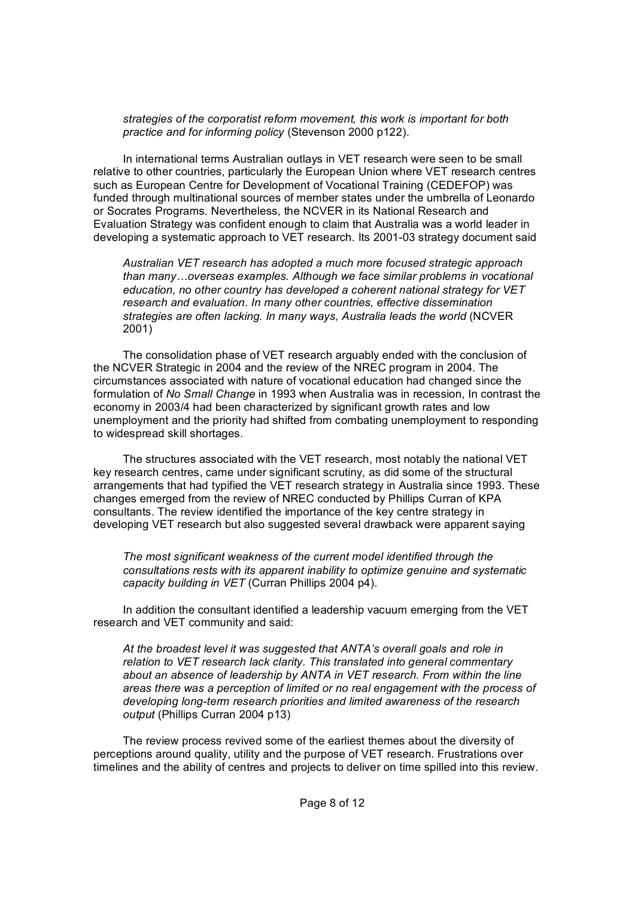*strategies of the corporatist reform movement, this work is important for both practice and for informing policy* (Stevenson 2000 p122).

In international terms Australian outlays in VET research were seen to be small relative to other countries, particularly the European Union where VET research centres such as European Centre for Development of Vocational Training (CEDEFOP) was funded through multinational sources of member states under the umbrella of Leonardo or Socrates Programs. Nevertheless, the NCVER in its National Research and Evaluation Strategy was confident enough to claim that Australia was a world leader in developing a systematic approach to VET research. Its 2001-03 strategy document said

*Australian VET research has adopted a much more focused strategic approach than many…overseas examples. Although we face similar problems in vocational education, no other country has developed a coherent national strategy for VET research and evaluation. In many other countries, effective dissemination strategies are often lacking. In many ways, Australia leads the world* (NCVER 2001)

The consolidation phase of VET research arguably ended with the conclusion of the NCVER Strategic in 2004 and the review of the NREC program in 2004. The circumstances associated with nature of vocational education had changed since the formulation of *No Small Change* in 1993 when Australia was in recession, In contrast the economy in 2003/4 had been characterized by significant growth rates and low unemployment and the priority had shifted from combating unemployment to responding to widespread skill shortages.

The structures associated with the VET research, most notably the national VET key research centres, came under significant scrutiny, as did some of the structural arrangements that had typified the VET research strategy in Australia since 1993. These changes emerged from the review of NREC conducted by Phillips Curran of KPA consultants. The review identified the importance of the key centre strategy in developing VET research but also suggested several drawback were apparent saying

*The most significant weakness of the current model identified through the consultations rests with its apparent inability to optimize genuine and systematic capacity building in VET* (Curran Phillips 2004 p4).

In addition the consultant identified a leadership vacuum emerging from the VET research and VET community and said:

*At the broadest level it was suggested that ANTA's overall goals and role in relation to VET research lack clarity. This translated into general commentary about an absence of leadership by ANTA in VET research. From within the line areas there was a perception of limited or no real engagement with the process of developing long-term research priorities and limited awareness of the research output* (Phillips Curran 2004 p13)

The review process revived some of the earliest themes about the diversity of perceptions around quality, utility and the purpose of VET research. Frustrations over timelines and the ability of centres and projects to deliver on time spilled into this review.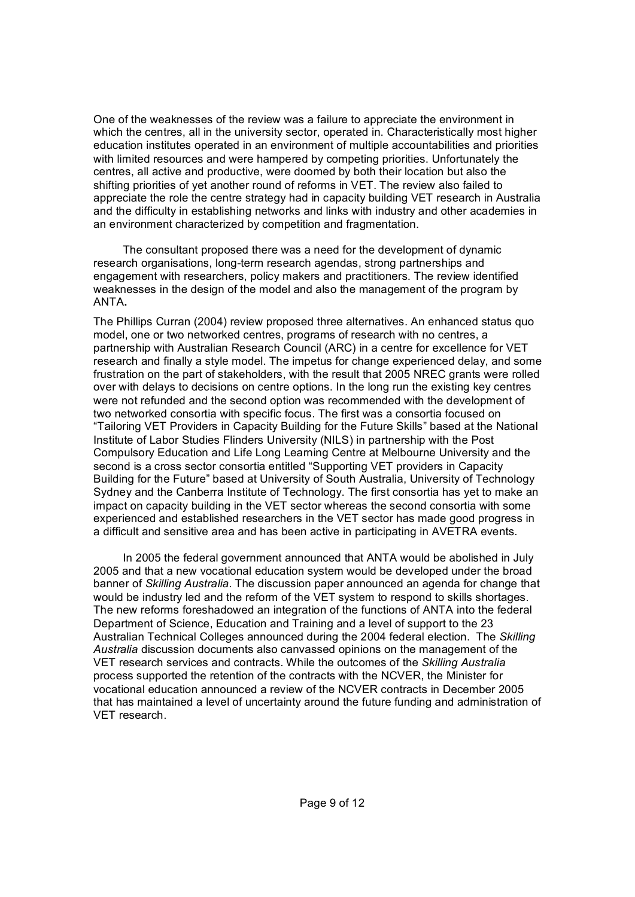One of the weaknesses of the review was a failure to appreciate the environment in which the centres, all in the university sector, operated in. Characteristically most higher education institutes operated in an environment of multiple accountabilities and priorities with limited resources and were hampered by competing priorities. Unfortunately the centres, all active and productive, were doomed by both their location but also the shifting priorities of yet another round of reforms in VET. The review also failed to appreciate the role the centre strategy had in capacity building VET research in Australia and the difficulty in establishing networks and links with industry and other academies in an environment characterized by competition and fragmentation.

The consultant proposed there was a need for the development of dynamic research organisations, long-term research agendas, strong partnerships and engagement with researchers, policy makers and practitioners. The review identified weaknesses in the design of the model and also the management of the program by ANTA**.**

The Phillips Curran (2004) review proposed three alternatives. An enhanced status quo model, one or two networked centres, programs of research with no centres, a partnership with Australian Research Council (ARC) in a centre for excellence for VET research and finally a style model. The impetus for change experienced delay, and some frustration on the part of stakeholders, with the result that 2005 NREC grants were rolled over with delays to decisions on centre options. In the long run the existing key centres were not refunded and the second option was recommended with the development of two networked consortia with specific focus. The first was a consortia focused on "Tailoring VET Providers in Capacity Building for the Future Skills" based at the National Institute of Labor Studies Flinders University (NILS) in partnership with the Post Compulsory Education and Life Long Learning Centre at Melbourne University and the second is a cross sector consortia entitled "Supporting VET providers in Capacity Building for the Future" based at University of South Australia, University of Technology Sydney and the Canberra Institute of Technology. The first consortia has yet to make an impact on capacity building in the VET sector whereas the second consortia with some experienced and established researchers in the VET sector has made good progress in a difficult and sensitive area and has been active in participating in AVETRA events.

In 2005 the federal government announced that ANTA would be abolished in July 2005 and that a new vocational education system would be developed under the broad banner of *Skilling Australia*. The discussion paper announced an agenda for change that would be industry led and the reform of the VET system to respond to skills shortages. The new reforms foreshadowed an integration of the functions of ANTA into the federal Department of Science, Education and Training and a level of support to the 23 Australian Technical Colleges announced during the 2004 federal election. The *Skilling Australia* discussion documents also canvassed opinions on the management of the VET research services and contracts. While the outcomes of the *Skilling Australia* process supported the retention of the contracts with the NCVER, the Minister for vocational education announced a review of the NCVER contracts in December 2005 that has maintained a level of uncertainty around the future funding and administration of VET research.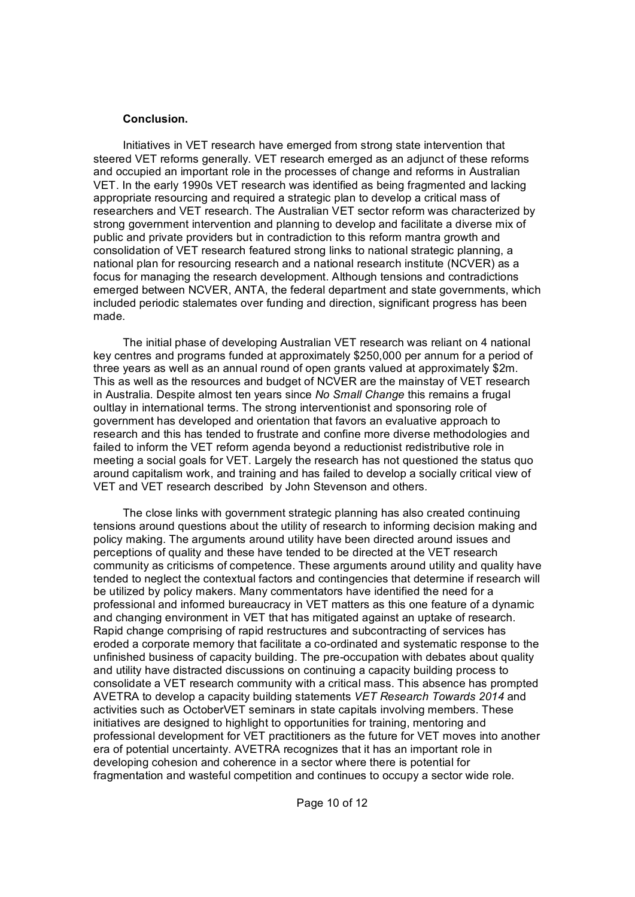#### **Conclusion.**

Initiatives in VET research have emerged from strong state intervention that steered VET reforms generally. VET research emerged as an adjunct of these reforms and occupied an important role in the processes of change and reforms in Australian VET. In the early 1990s VET research was identified as being fragmented and lacking appropriate resourcing and required a strategic plan to develop a critical mass of researchers and VET research. The Australian VET sector reform was characterized by strong government intervention and planning to develop and facilitate a diverse mix of public and private providers but in contradiction to this reform mantra growth and consolidation of VET research featured strong links to national strategic planning, a national plan for resourcing research and a national research institute (NCVER) as a focus for managing the research development. Although tensions and contradictions emerged between NCVER, ANTA, the federal department and state governments, which included periodic stalemates over funding and direction, significant progress has been made.

The initial phase of developing Australian VET research was reliant on 4 national key centres and programs funded at approximately \$250,000 per annum for a period of three years as well as an annual round of open grants valued at approximately \$2m. This as well as the resources and budget of NCVER are the mainstay of VET research in Australia. Despite almost ten years since *No Small Change* this remains a frugal oultlay in international terms. The strong interventionist and sponsoring role of government has developed and orientation that favors an evaluative approach to research and this has tended to frustrate and confine more diverse methodologies and failed to inform the VET reform agenda beyond a reductionist redistributive role in meeting a social goals for VET. Largely the research has not questioned the status quo around capitalism work, and training and has failed to develop a socially critical view of VET and VET research described by John Stevenson and others.

The close links with government strategic planning has also created continuing tensions around questions about the utility of research to informing decision making and policy making. The arguments around utility have been directed around issues and perceptions of quality and these have tended to be directed at the VET research community as criticisms of competence. These arguments around utility and quality have tended to neglect the contextual factors and contingencies that determine if research will be utilized by policy makers. Many commentators have identified the need for a professional and informed bureaucracy in VET matters as this one feature of a dynamic and changing environment in VET that has mitigated against an uptake of research. Rapid change comprising of rapid restructures and subcontracting of services has eroded a corporate memory that facilitate a co-ordinated and systematic response to the unfinished business of capacity building. The pre-occupation with debates about quality and utility have distracted discussions on continuing a capacity building process to consolidate a VET research community with a critical mass. This absence has prompted AVETRA to develop a capacity building statements *VET Research Towards 2014* and activities such as OctoberVET seminars in state capitals involving members. These initiatives are designed to highlight to opportunities for training, mentoring and professional development for VET practitioners as the future for VET moves into another era of potential uncertainty. AVETRA recognizes that it has an important role in developing cohesion and coherence in a sector where there is potential for fragmentation and wasteful competition and continues to occupy a sector wide role.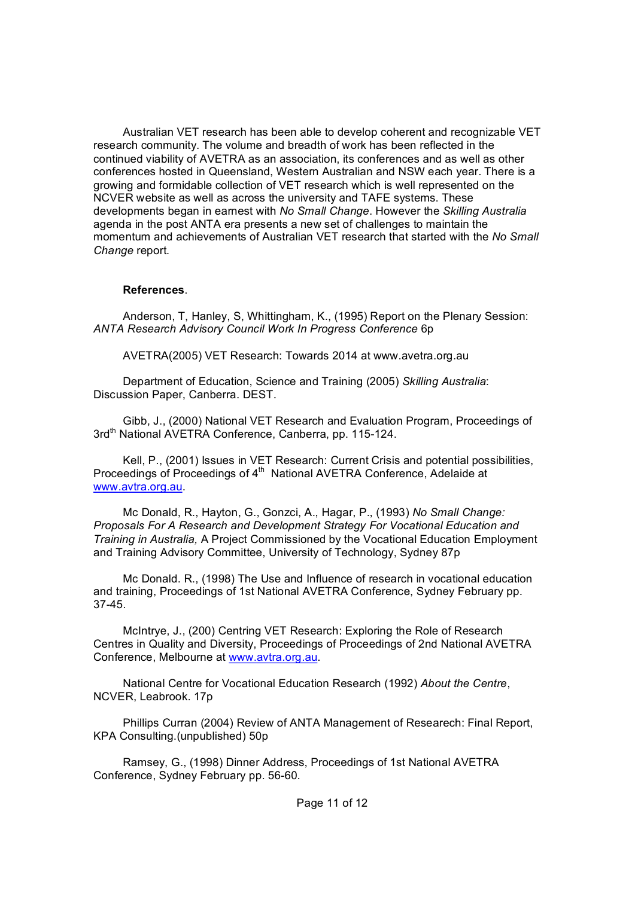Australian VET research has been able to develop coherent and recognizable VET research community. The volume and breadth of work has been reflected in the continued viability of AVETRA as an association, its conferences and as well as other conferences hosted in Queensland, Western Australian and NSW each year. There is a growing and formidable collection of VET research which is well represented on the NCVER website as well as across the university and TAFE systems. These developments began in earnest with *No Small Change*. However the *Skilling Australia* agenda in the post ANTA era presents a new set of challenges to maintain the momentum and achievements of Australian VET research that started with the *No Small Change* report*.*

### **References**.

Anderson, T, Hanley, S, Whittingham, K., (1995) Report on the Plenary Session: *ANTA Research Advisory Council Work In Progress Conference* 6p

AVETRA(2005) VET Research: Towards 2014 at www.avetra.org.au

Department of Education, Science and Training (2005) *Skilling Australia*: Discussion Paper, Canberra. DEST.

Gibb, J., (2000) National VET Research and Evaluation Program, Proceedings of 3rd<sup>th</sup> National AVETRA Conference, Canberra, pp. 115-124.

Kell, P., (2001) Issues in VET Research: Current Crisis and potential possibilities, Proceedings of Proceedings of 4<sup>th</sup> National AVETRA Conference, Adelaide at [www.avtra.org.au](http://www.avtra.org.au).

Mc Donald, R., Hayton, G., Gonzci, A., Hagar, P., (1993) *No Small Change: Proposals For A Research and Development Strategy For Vocational Education and Training in Australia,* A Project Commissioned by the Vocational Education Employment and Training Advisory Committee, University of Technology, Sydney 87p

Mc Donald. R., (1998) The Use and Influence of research in vocational education and training, Proceedings of 1st National AVETRA Conference, Sydney February pp. 3745. McIntrye, J., (200) Centring VET Research: Exploring the Role of Research

Centres in Quality and Diversity, Proceedings of Proceedings of 2nd National AVETRA Conference, Melbourne at [www.avtra.org.au.](http://www.avtra.org.au)

National Centre for Vocational Education Research (1992) *About the Centre*, NCVER, Leabrook. 17p

Phillips Curran (2004) Review of ANTA Management of Researech: Final Report, KPA Consulting.(unpublished) 50p

Ramsey, G., (1998) Dinner Address, Proceedings of 1st National AVETRA Conference, Sydney February pp. 56-60.